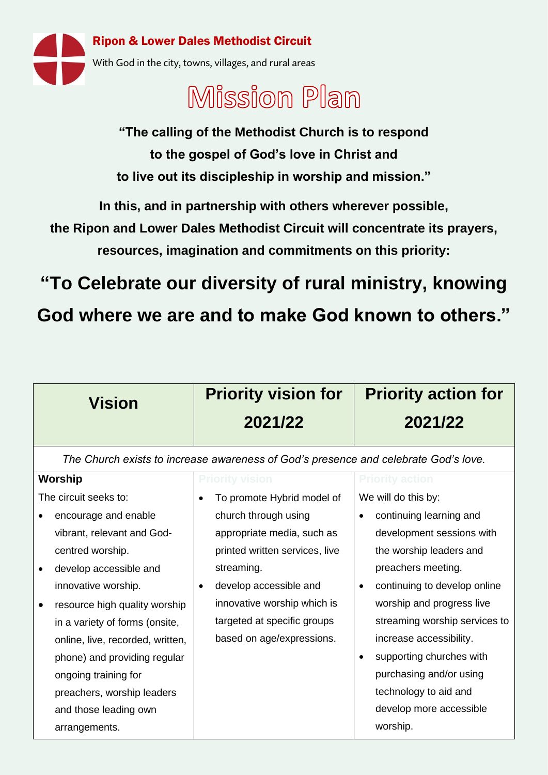

## Mission Plan

**"The calling of the Methodist Church is to respond to the gospel of God's love in Christ and to live out its discipleship in worship and mission."**

**In this, and in partnership with others wherever possible,** 

**the Ripon and Lower Dales Methodist Circuit will concentrate its prayers,** 

**resources, imagination and commitments on this priority:**

**"To Celebrate our diversity of rural ministry, knowing** 

**God where we are and to make God known to others."**

| <b>Vision</b>                                                                       | <b>Priority vision for</b>                       | <b>Priority action for</b>    |  |  |  |  |  |  |
|-------------------------------------------------------------------------------------|--------------------------------------------------|-------------------------------|--|--|--|--|--|--|
|                                                                                     | 2021/22                                          | 2021/22                       |  |  |  |  |  |  |
| The Church exists to increase awareness of God's presence and celebrate God's love. |                                                  |                               |  |  |  |  |  |  |
| <b>Worship</b>                                                                      | <b>Priority vision</b><br><b>Priority action</b> |                               |  |  |  |  |  |  |
| The circuit seeks to:                                                               | To promote Hybrid model of<br>$\bullet$          | We will do this by:           |  |  |  |  |  |  |
| encourage and enable                                                                | church through using                             | continuing learning and       |  |  |  |  |  |  |
| vibrant, relevant and God-                                                          | appropriate media, such as                       | development sessions with     |  |  |  |  |  |  |
| centred worship.                                                                    | printed written services, live                   | the worship leaders and       |  |  |  |  |  |  |
| develop accessible and                                                              | streaming.                                       | preachers meeting.            |  |  |  |  |  |  |
| innovative worship.                                                                 | develop accessible and                           | continuing to develop online  |  |  |  |  |  |  |
| resource high quality worship                                                       | innovative worship which is                      | worship and progress live     |  |  |  |  |  |  |
| in a variety of forms (onsite,                                                      | targeted at specific groups                      | streaming worship services to |  |  |  |  |  |  |
| online, live, recorded, written,                                                    | based on age/expressions.                        | increase accessibility.       |  |  |  |  |  |  |
| phone) and providing regular                                                        |                                                  | supporting churches with      |  |  |  |  |  |  |
| ongoing training for                                                                |                                                  | purchasing and/or using       |  |  |  |  |  |  |
| preachers, worship leaders                                                          |                                                  | technology to aid and         |  |  |  |  |  |  |
| and those leading own                                                               |                                                  | develop more accessible       |  |  |  |  |  |  |
| arrangements.                                                                       |                                                  | worship.                      |  |  |  |  |  |  |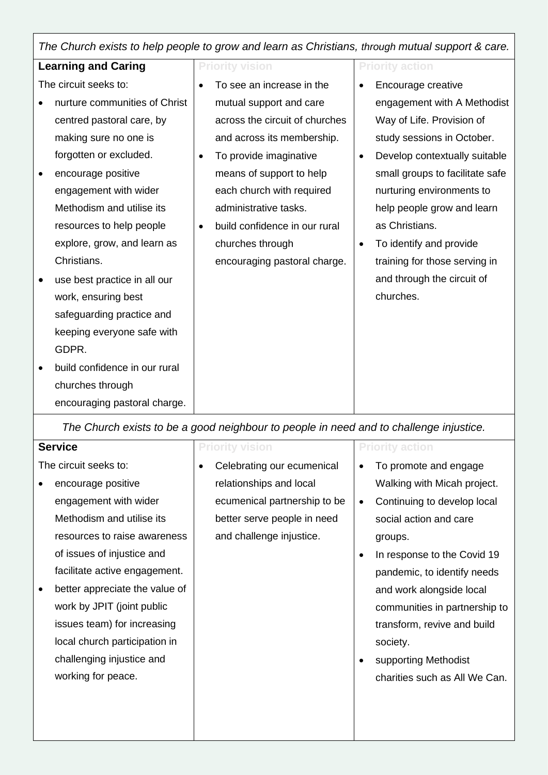| The Church exists to help people to grow and learn as Christians, through mutual support & care. |                                            |                                 |  |  |  |  |  |  |
|--------------------------------------------------------------------------------------------------|--------------------------------------------|---------------------------------|--|--|--|--|--|--|
| <b>Learning and Caring</b>                                                                       | <b>Priority vision</b>                     | <b>Priority action</b>          |  |  |  |  |  |  |
| The circuit seeks to:                                                                            | To see an increase in the                  | Encourage creative              |  |  |  |  |  |  |
| nurture communities of Christ                                                                    | mutual support and care                    | engagement with A Methodist     |  |  |  |  |  |  |
| centred pastoral care, by                                                                        | across the circuit of churches             | Way of Life. Provision of       |  |  |  |  |  |  |
| making sure no one is                                                                            | and across its membership.                 | study sessions in October.      |  |  |  |  |  |  |
| forgotten or excluded.                                                                           | To provide imaginative<br>$\bullet$        | Develop contextually suitable   |  |  |  |  |  |  |
| encourage positive<br>$\bullet$                                                                  | means of support to help                   | small groups to facilitate safe |  |  |  |  |  |  |
| engagement with wider                                                                            | each church with required                  | nurturing environments to       |  |  |  |  |  |  |
| Methodism and utilise its                                                                        | administrative tasks.                      | help people grow and learn      |  |  |  |  |  |  |
| resources to help people                                                                         | build confidence in our rural<br>$\bullet$ | as Christians.                  |  |  |  |  |  |  |
| explore, grow, and learn as                                                                      | churches through                           | To identify and provide         |  |  |  |  |  |  |
| Christians.                                                                                      | encouraging pastoral charge.               | training for those serving in   |  |  |  |  |  |  |
| use best practice in all our                                                                     |                                            | and through the circuit of      |  |  |  |  |  |  |
| work, ensuring best                                                                              |                                            | churches.                       |  |  |  |  |  |  |
| safeguarding practice and                                                                        |                                            |                                 |  |  |  |  |  |  |
| keeping everyone safe with                                                                       |                                            |                                 |  |  |  |  |  |  |
| GDPR.                                                                                            |                                            |                                 |  |  |  |  |  |  |
| build confidence in our rural<br>$\bullet$                                                       |                                            |                                 |  |  |  |  |  |  |
| churches through                                                                                 |                                            |                                 |  |  |  |  |  |  |
| encouraging pastoral charge.                                                                     |                                            |                                 |  |  |  |  |  |  |

*The Church exists to be a good neighbour to people in need and to challenge injustice.*

| Service                         | <b>Priority vision</b>          | <b>Priority action</b>                   |  |
|---------------------------------|---------------------------------|------------------------------------------|--|
| The circuit seeks to:           | Celebrating our ecumenical<br>٠ | To promote and engage                    |  |
| encourage positive<br>$\bullet$ | relationships and local         | Walking with Micah project.              |  |
| engagement with wider           | ecumenical partnership to be    | Continuing to develop local<br>$\bullet$ |  |
| Methodism and utilise its       | better serve people in need     | social action and care                   |  |
| resources to raise awareness    | and challenge injustice.        | groups.                                  |  |
| of issues of injustice and      |                                 | In response to the Covid 19<br>٠         |  |
| facilitate active engagement.   |                                 | pandemic, to identify needs              |  |
| better appreciate the value of  |                                 | and work alongside local                 |  |
| work by JPIT (joint public      |                                 | communities in partnership to            |  |
| issues team) for increasing     |                                 | transform, revive and build              |  |
| local church participation in   |                                 | society.                                 |  |
| challenging injustice and       |                                 | supporting Methodist                     |  |
| working for peace.              |                                 | charities such as All We Can.            |  |
|                                 |                                 |                                          |  |
|                                 |                                 |                                          |  |
|                                 |                                 |                                          |  |